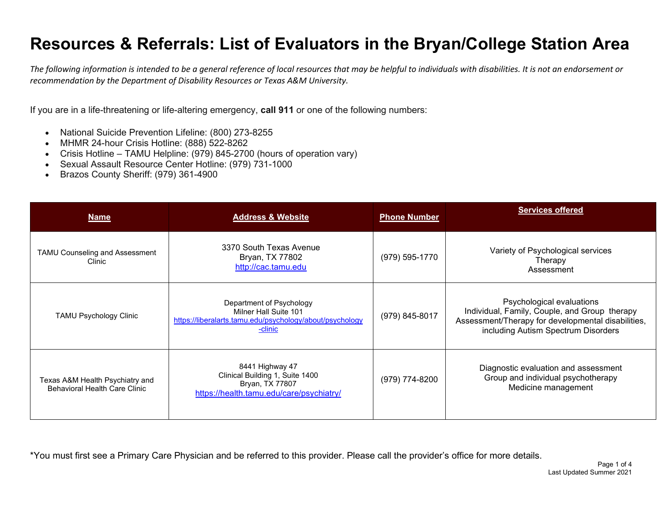*The following information is intended to be a general reference of local resources that may be helpful to individuals with disabilities. It is not an endorsement or recommendation by the Department of Disability Resources or Texas A&M University.*

If you are in a life-threatening or life-altering emergency, **call 911** or one of the following numbers:

- National Suicide Prevention Lifeline: (800) 273-8255
- MHMR 24-hour Crisis Hotline: (888) 522-8262
- Crisis Hotline TAMU Helpline: (979) 845-2700 (hours of operation vary)
- Sexual Assault Resource Center Hotline: (979) 731-1000
- Brazos County Sheriff: (979) 361-4900

| <b>Name</b>                                                             | <b>Address &amp; Website</b>                                                                                             | <b>Phone Number</b> | <b>Services offered</b>                                                                                                                                                 |
|-------------------------------------------------------------------------|--------------------------------------------------------------------------------------------------------------------------|---------------------|-------------------------------------------------------------------------------------------------------------------------------------------------------------------------|
| TAMU Counseling and Assessment<br>Clinic.                               | 3370 South Texas Avenue<br>Bryan, TX 77802<br>http://cac.tamu.edu                                                        | (979) 595-1770      | Variety of Psychological services<br>Therapy<br>Assessment                                                                                                              |
| <b>TAMU Psychology Clinic</b>                                           | Department of Psychology<br>Milner Hall Suite 101<br>https://liberalarts.tamu.edu/psychology/about/psychology<br>-clinic | (979) 845-8017      | Psychological evaluations<br>Individual, Family, Couple, and Group therapy<br>Assessment/Therapy for developmental disabilities,<br>including Autism Spectrum Disorders |
| Texas A&M Health Psychiatry and<br><b>Behavioral Health Care Clinic</b> | 8441 Highway 47<br>Clinical Building 1, Suite 1400<br>Bryan, TX 77807<br>https://health.tamu.edu/care/psychiatry/        | (979) 774-8200      | Diagnostic evaluation and assessment<br>Group and individual psychotherapy<br>Medicine management                                                                       |

\*You must first see a Primary Care Physician and be referred to this provider. Please call the provider's office for more details.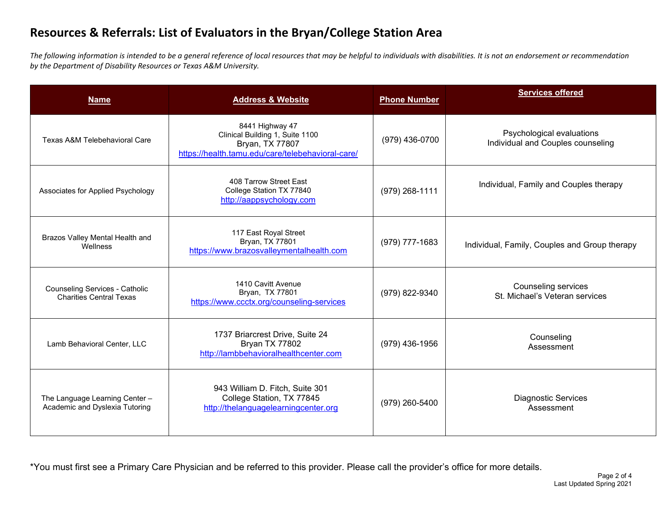*The following information is intended to be a general reference of local resources that may be helpful to individuals with disabilities. It is not an endorsement or recommendation by the Department of Disability Resources or Texas A&M University.*

| <b>Name</b>                                                             | <b>Address &amp; Website</b>                                                                                               | <b>Phone Number</b> | <b>Services offered</b>                                        |
|-------------------------------------------------------------------------|----------------------------------------------------------------------------------------------------------------------------|---------------------|----------------------------------------------------------------|
| Texas A&M Telebehavioral Care                                           | 8441 Highway 47<br>Clinical Building 1, Suite 1100<br>Bryan, TX 77807<br>https://health.tamu.edu/care/telebehavioral-care/ | (979) 436-0700      | Psychological evaluations<br>Individual and Couples counseling |
| Associates for Applied Psychology                                       | 408 Tarrow Street East<br>College Station TX 77840<br>http://aappsychology.com                                             | (979) 268-1111      | Individual, Family and Couples therapy                         |
| Brazos Valley Mental Health and<br>Wellness                             | 117 East Royal Street<br>Bryan, TX 77801<br>https://www.brazosvalleymentalhealth.com                                       | (979) 777-1683      | Individual, Family, Couples and Group therapy                  |
| <b>Counseling Services - Catholic</b><br><b>Charities Central Texas</b> | 1410 Cavitt Avenue<br>Bryan, TX 77801<br>https://www.ccctx.org/counseling-services                                         | (979) 822-9340      | Counseling services<br>St. Michael's Veteran services          |
| Lamb Behavioral Center, LLC                                             | 1737 Briarcrest Drive, Suite 24<br>Bryan TX 77802<br>http://lambbehavioralhealthcenter.com                                 | (979) 436-1956      | Counseling<br>Assessment                                       |
| The Language Learning Center -<br>Academic and Dyslexia Tutoring        | 943 William D. Fitch, Suite 301<br>College Station, TX 77845<br>http://thelanguagelearningcenter.org                       | (979) 260-5400      | <b>Diagnostic Services</b><br>Assessment                       |

\*You must first see a Primary Care Physician and be referred to this provider. Please call the provider's office for more details.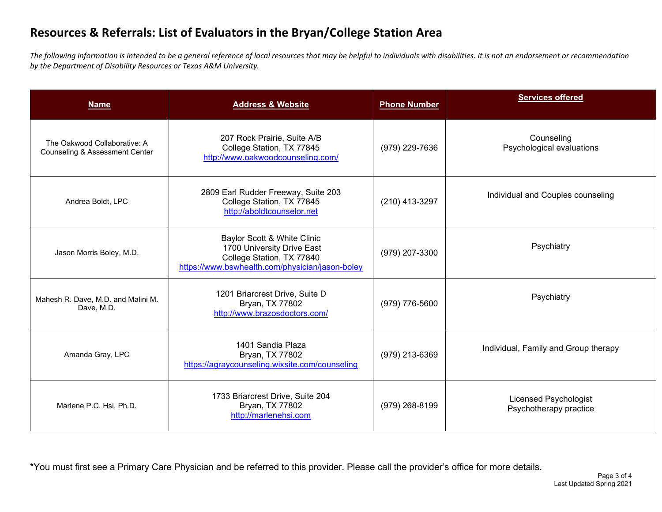*The following information is intended to be a general reference of local resources that may be helpful to individuals with disabilities. It is not an endorsement or recommendation by the Department of Disability Resources or Texas A&M University.*

| <b>Name</b>                                                               | <b>Address &amp; Website</b>                                                                                                              | <b>Phone Number</b> | <b>Services offered</b>                                |
|---------------------------------------------------------------------------|-------------------------------------------------------------------------------------------------------------------------------------------|---------------------|--------------------------------------------------------|
| The Oakwood Collaborative: A<br><b>Counseling &amp; Assessment Center</b> | 207 Rock Prairie, Suite A/B<br>College Station, TX 77845<br>http://www.oakwoodcounseling.com/                                             | (979) 229-7636      | Counseling<br>Psychological evaluations                |
| Andrea Boldt, LPC                                                         | 2809 Earl Rudder Freeway, Suite 203<br>College Station, TX 77845<br>http://aboldtcounselor.net                                            | (210) 413-3297      | Individual and Couples counseling                      |
| Jason Morris Boley, M.D.                                                  | Baylor Scott & White Clinic<br>1700 University Drive East<br>College Station, TX 77840<br>https://www.bswhealth.com/physician/jason-boley | (979) 207-3300      | Psychiatry                                             |
| Mahesh R. Dave, M.D. and Malini M.<br>Dave, M.D.                          | 1201 Briarcrest Drive, Suite D<br>Bryan, TX 77802<br>http://www.brazosdoctors.com/                                                        | (979) 776-5600      | Psychiatry                                             |
| Amanda Gray, LPC                                                          | 1401 Sandia Plaza<br>Bryan, TX 77802<br>https://agraycounseling.wixsite.com/counseling                                                    | (979) 213-6369      | Individual, Family and Group therapy                   |
| Marlene P.C. Hsi, Ph.D.                                                   | 1733 Briarcrest Drive, Suite 204<br>Bryan, TX 77802<br>http://marlenehsi.com                                                              | (979) 268-8199      | <b>Licensed Psychologist</b><br>Psychotherapy practice |